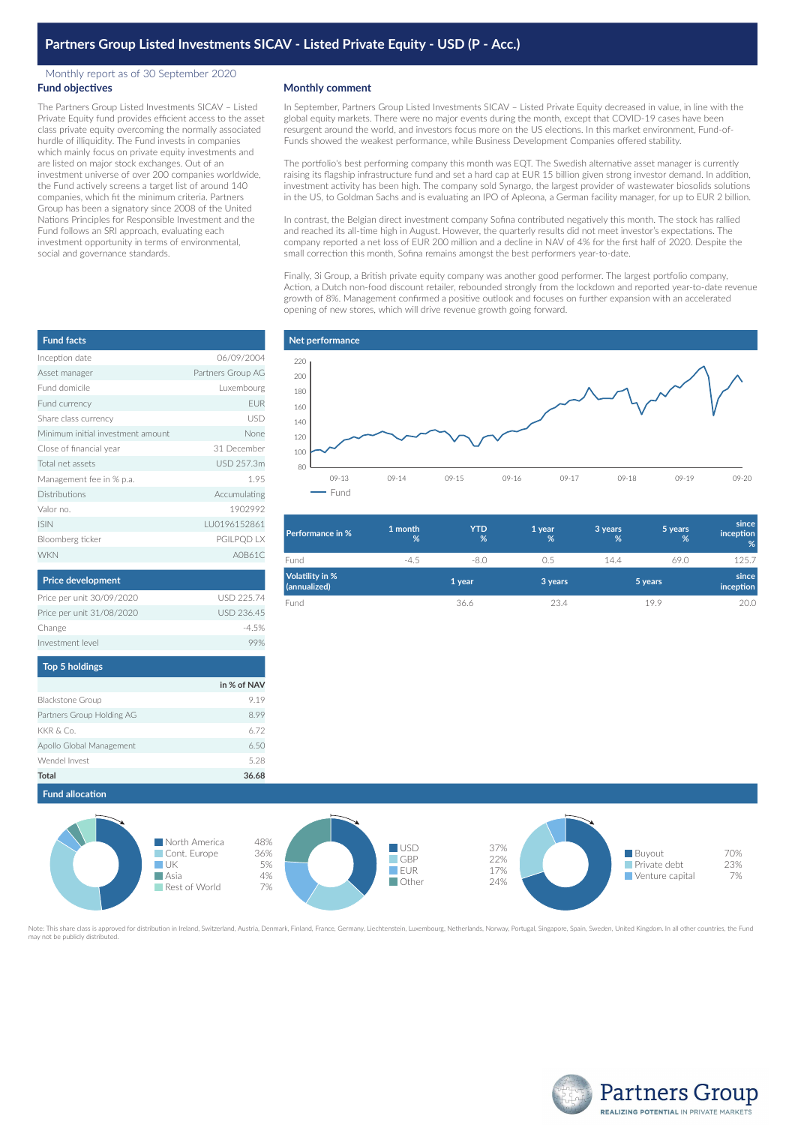## Monthly report as of 30 September 2020 **Fund objectives**

The Partners Group Listed Investments SICAV – Listed Private Equity fund provides efficient access to the asset class private equity overcoming the normally associated hurdle of illiquidity. The Fund invests in companies which mainly focus on private equity investments and are listed on major stock exchanges. Out of an investment universe of over 200 companies worldwide, the Fund actively screens a target list of around 140 companies, which fit the minimum criteria. Partners Group has been a signatory since 2008 of the United Nations Principles for Responsible Investment and the Fund follows an SRI approach, evaluating each investment opportunity in terms of environmental, social and governance standards.

## **Monthly comment**

In September, Partners Group Listed Investments SICAV – Listed Private Equity decreased in value, in line with the global equity markets. There were no major events during the month, except that COVID-19 cases have been resurgent around the world, and investors focus more on the US elections. In this market environment, Fund-of-Funds showed the weakest performance, while Business Development Companies offered stability.

The portfolio's best performing company this month was EQT. The Swedish alternative asset manager is currently raising its flagship infrastructure fund and set a hard cap at EUR 15 billion given strong investor demand. In addition, investment activity has been high. The company sold Synargo, the largest provider of wastewater biosolids solutions in the US, to Goldman Sachs and is evaluating an IPO of Apleona, a German facility manager, for up to EUR 2 billion.

In contrast, the Belgian direct investment company Sofina contributed negatively this month. The stock has rallied and reached its all-time high in August. However, the quarterly results did not meet investor's expectations. The company reported a net loss of EUR 200 million and a decline in NAV of 4% for the first half of 2020. Despite the small correction this month, Sofina remains amongst the best performers year-to-date.

Finally, 3i Group, a British private equity company was another good performer. The largest portfolio company, Action, a Dutch non-food discount retailer, rebounded strongly from the lockdown and reported year-to-date revenue growth of 8%. Management confirmed a positive outlook and focuses on further expansion with an accelerated opening of new stores, which will drive revenue growth going forward.



| Performance in %                | 1 month<br>% | <b>YTD</b><br>% | 1 year<br>% | 3 years<br>% | 5 years<br>% | since<br>inception<br>% |
|---------------------------------|--------------|-----------------|-------------|--------------|--------------|-------------------------|
| Fund                            | $-4.5$       | $-8.0$          | 0.5         | 14.4         | 69.0         | 125.7                   |
| Volatility in %<br>(annualized) |              | 1 year          | 3 years     |              | 5 years      | since<br>inception      |
| Fund                            |              | 36.6            | 23.4        |              | 19.9         | 20.0                    |

| <b>Fund facts</b>                 |                   |
|-----------------------------------|-------------------|
| Inception date                    | 06/09/2004        |
| Asset manager                     | Partners Group AG |
| Fund domicile                     | Luxembourg        |
| Fund currency                     | <b>EUR</b>        |
| Share class currency              | USD               |
| Minimum initial investment amount | None              |
| Close of financial year           | 31 December       |
| Total net assets                  | USD 257.3m        |
| Management fee in % p.a.          | 1.95              |
| Distributions                     | Accumulating      |
| Valor no.                         | 1902992           |
| <b>ISIN</b>                       | LU0196152861      |
| Bloomberg ticker                  | PGILPQD LX        |
| <b>WKN</b>                        | A0B61C            |
| <b>Price development</b>          |                   |

| Price per unit 31/08/2020 | USD 236.45  |
|---------------------------|-------------|
| Change                    | $-4.5%$     |
| Investment level          | 99%         |
|                           |             |
| <b>Top 5 holdings</b>     |             |
|                           | in % of NAV |
| <b>Blackstone Group</b>   | 919         |
| Partners Group Holding AG | 899         |
|                           |             |

KKR & Co. 6.72 Apollo Global Management 6.50

Price per unit 30/09/2020 USD 225.74

Wendel Invest 5.28 **Total 36.68**

**Fund allocation**



ed for distribution in Ireland, Switzerland, Austria, Denmark, Finland, France, Germany, Liechtenstein, Luxembourg, Netherlands, Norway, Portugal, Singapore, Spain, Sweden, United Kingdom. In all other countries, the Fund ay not be publicly distributed